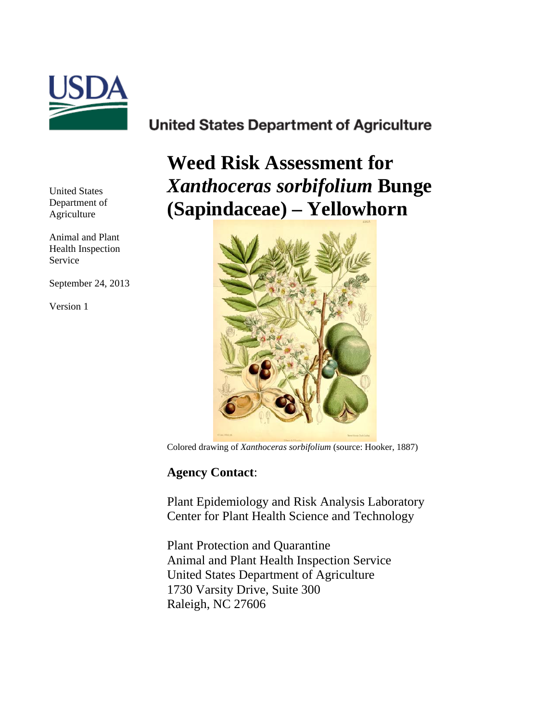

## **United States Department of Agriculture**

**Weed Risk Assessment for**  *Xanthoceras sorbifolium* **Bunge (Sapindaceae) – Yellowhorn**



Colored drawing of *Xanthoceras sorbifolium* (source: Hooker, 1887)

## **Agency Contact**:

Plant Epidemiology and Risk Analysis Laboratory Center for Plant Health Science and Technology

Plant Protection and Quarantine Animal and Plant Health Inspection Service United States Department of Agriculture 1730 Varsity Drive, Suite 300 Raleigh, NC 27606

United States Department of Agriculture

Animal and Plant Health Inspection Service

September 24, 2013

Version 1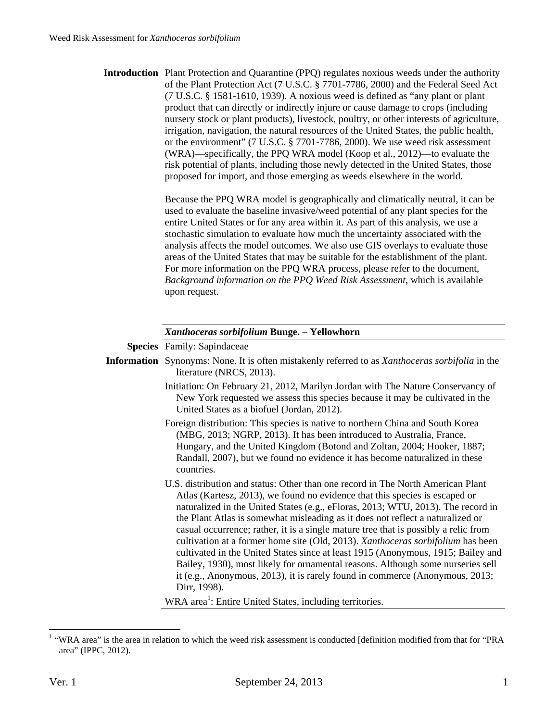| product that can directly or indirectly injure or cause damage to crops (including<br>nursery stock or plant products), livestock, poultry, or other interests of agriculture,<br>irrigation, navigation, the natural resources of the United States, the public health,<br>or the environment" (7 U.S.C. § 7701-7786, 2000). We use weed risk assessment<br>(WRA)—specifically, the PPQ WRA model (Koop et al., 2012)—to evaluate the<br>risk potential of plants, including those newly detected in the United States, those<br>proposed for import, and those emerging as weeds elsewhere in the world.                                                                                           |
|------------------------------------------------------------------------------------------------------------------------------------------------------------------------------------------------------------------------------------------------------------------------------------------------------------------------------------------------------------------------------------------------------------------------------------------------------------------------------------------------------------------------------------------------------------------------------------------------------------------------------------------------------------------------------------------------------|
| Because the PPQ WRA model is geographically and climatically neutral, it can be<br>used to evaluate the baseline invasive/weed potential of any plant species for the<br>entire United States or for any area within it. As part of this analysis, we use a<br>stochastic simulation to evaluate how much the uncertainty associated with the<br>analysis affects the model outcomes. We also use GIS overlays to evaluate those<br>areas of the United States that may be suitable for the establishment of the plant.<br>For more information on the PPQ WRA process, please refer to the document,<br>Background information on the PPQ Weed Risk Assessment, which is available<br>upon request. |
| Xanthoceras sorbifolium Bunge. - Yellowhorn                                                                                                                                                                                                                                                                                                                                                                                                                                                                                                                                                                                                                                                          |
| <b>Species</b> Family: Sapindaceae                                                                                                                                                                                                                                                                                                                                                                                                                                                                                                                                                                                                                                                                   |
| <b>Information</b> Synonyms: None. It is often mistakenly referred to as Xanthoceras sorbifolia in the<br>literature (NRCS, 2013).                                                                                                                                                                                                                                                                                                                                                                                                                                                                                                                                                                   |
| Initiation: On February 21, 2012, Marilyn Jordan with The Nature Conservancy of<br>New York requested we assess this species because it may be cultivated in the<br>United States as a biofuel (Jordan, 2012).                                                                                                                                                                                                                                                                                                                                                                                                                                                                                       |
| Foreign distribution: This species is native to northern China and South Korea<br>(MBG, 2013; NGRP, 2013). It has been introduced to Australia, France,<br>Hungary, and the United Kingdom (Botond and Zoltan, 2004; Hooker, 1887;<br>Randall, 2007), but we found no evidence it has become naturalized in these<br>countries.                                                                                                                                                                                                                                                                                                                                                                      |
| U.S. distribution and status: Other than one record in The North American Plant<br>Atlas (Kartesz, 2013), we found no evidence that this species is escaped or<br>naturalized in the United States (e.g., eFloras, 2013; WTU, 2013). The record in<br>the Plant Atlas is somewhat misleading as it does not reflect a naturalized or<br>casual occurrence; rather, it is a single mature tree that is possibly a relic from<br>cultivation at a former home site (Old, 2013). Xanthoceras sorbifolium has been                                                                                                                                                                                       |
|                                                                                                                                                                                                                                                                                                                                                                                                                                                                                                                                                                                                                                                                                                      |

 1 "WRA area" is the area in relation to which the weed risk assessment is conducted [definition modified from that for "PRA area" (IPPC, 2012).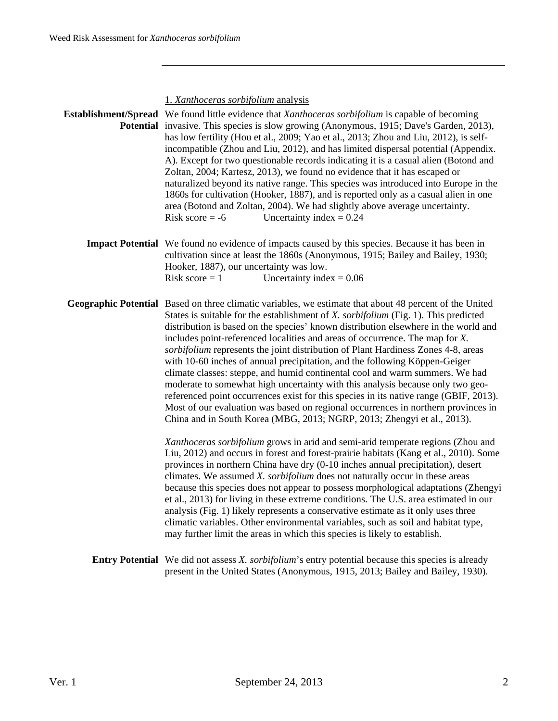1. *Xanthoceras sorbifolium* analysis **Establishment/Spread**  We found little evidence that *Xanthoceras sorbifolium* is capable of becoming Potential invasive. This species is slow growing (Anonymous, 1915; Dave's Garden, 2013), has low fertility (Hou et al., 2009; Yao et al., 2013; Zhou and Liu, 2012), is selfincompatible (Zhou and Liu, 2012), and has limited dispersal potential (Appendix. A). Except for two questionable records indicating it is a casual alien (Botond and Zoltan, 2004; Kartesz, 2013), we found no evidence that it has escaped or naturalized beyond its native range. This species was introduced into Europe in the 1860s for cultivation (Hooker, 1887), and is reported only as a casual alien in one area (Botond and Zoltan, 2004). We had slightly above average uncertainty. Risk score  $= -6$  Uncertainty index  $= 0.24$ **Impact Potential** We found no evidence of impacts caused by this species. Because it has been in cultivation since at least the 1860s (Anonymous, 1915; Bailey and Bailey, 1930; Hooker, 1887), our uncertainty was low. Risk score  $= 1$  Uncertainty index  $= 0.06$ **Geographic Potential** Based on three climatic variables, we estimate that about 48 percent of the United States is suitable for the establishment of *X. sorbifolium* (Fig. 1). This predicted distribution is based on the species' known distribution elsewhere in the world and includes point-referenced localities and areas of occurrence. The map for *X. sorbifolium* represents the joint distribution of Plant Hardiness Zones 4-8, areas with 10-60 inches of annual precipitation, and the following Köppen-Geiger climate classes: steppe, and humid continental cool and warm summers. We had moderate to somewhat high uncertainty with this analysis because only two georeferenced point occurrences exist for this species in its native range (GBIF, 2013). Most of our evaluation was based on regional occurrences in northern provinces in China and in South Korea (MBG, 2013; NGRP, 2013; Zhengyi et al., 2013). *Xanthoceras sorbifolium* grows in arid and semi-arid temperate regions (Zhou and Liu, 2012) and occurs in forest and forest-prairie habitats (Kang et al., 2010). Some provinces in northern China have dry (0-10 inches annual precipitation), desert climates. We assumed *X. sorbifolium* does not naturally occur in these areas because this species does not appear to possess morphological adaptations (Zhengyi et al., 2013) for living in these extreme conditions. The U.S. area estimated in our analysis (Fig. 1) likely represents a conservative estimate as it only uses three climatic variables. Other environmental variables, such as soil and habitat type, may further limit the areas in which this species is likely to establish. **Entry Potential** We did not assess *X. sorbifolium*'s entry potential because this species is already present in the United States (Anonymous, 1915, 2013; Bailey and Bailey, 1930).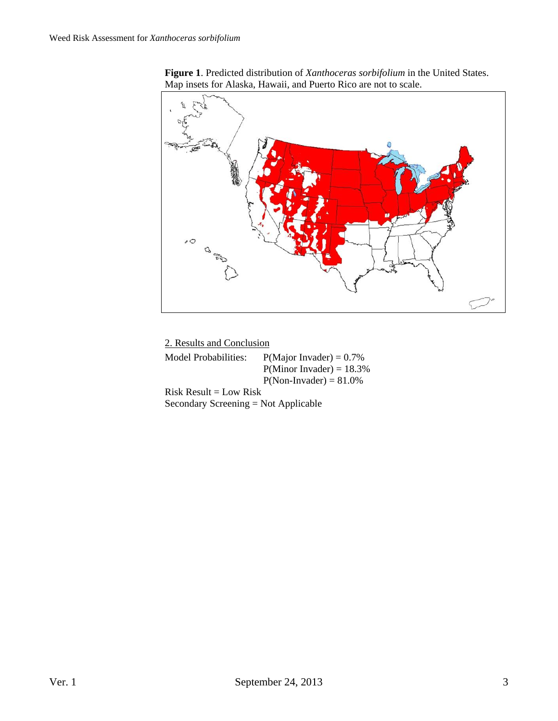



 2. Results and Conclusion Model Probabilities:  $P(Major\ Invader) = 0.7\%$  $P(Minor Invader) = 18.3%$  $P(Non- Invader) = 81.0\%$  $Risk Result = Low Risk$ Secondary Screening = Not Applicable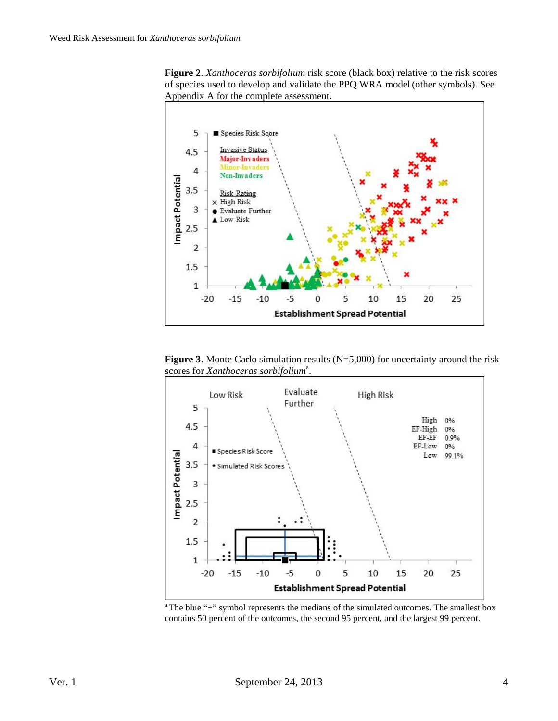



**Figure 3**. Monte Carlo simulation results (N=5,000) for uncertainty around the risk scores for *Xanthoceras sorbifolium<sup>a</sup>*.



contains 50 percent of the outcomes, the second 95 percent, and the largest 99 percent.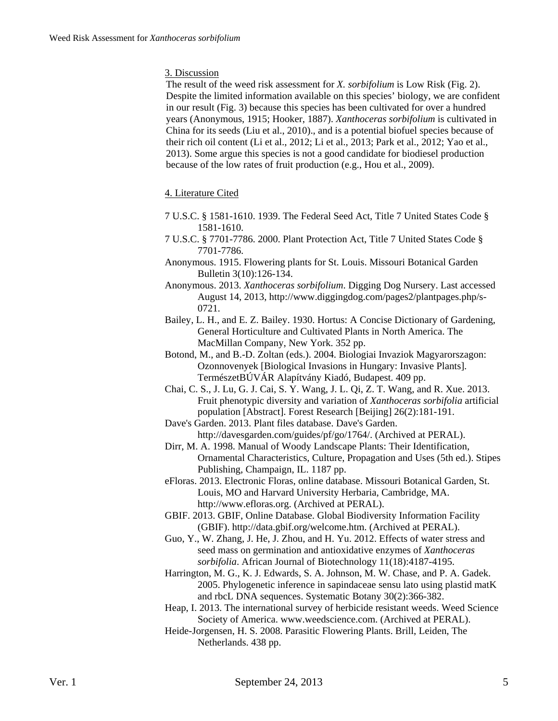## 3. Discussion

The result of the weed risk assessment for *X. sorbifolium* is Low Risk (Fig. 2). Despite the limited information available on this species' biology, we are confident in our result (Fig. 3) because this species has been cultivated for over a hundred years (Anonymous, 1915; Hooker, 1887). *Xanthoceras sorbifolium* is cultivated in China for its seeds (Liu et al., 2010)., and is a potential biofuel species because of their rich oil content (Li et al., 2012; Li et al., 2013; Park et al., 2012; Yao et al., 2013). Some argue this species is not a good candidate for biodiesel production because of the low rates of fruit production (e.g., Hou et al., 2009).

## 4. Literature Cited

- 7 U.S.C. § 1581-1610. 1939. The Federal Seed Act, Title 7 United States Code § 1581-1610.
- 7 U.S.C. § 7701-7786. 2000. Plant Protection Act, Title 7 United States Code § 7701-7786.
- Anonymous. 1915. Flowering plants for St. Louis. Missouri Botanical Garden Bulletin 3(10):126-134.
- Anonymous. 2013. *Xanthoceras sorbifolium*. Digging Dog Nursery. Last accessed August 14, 2013, http://www.diggingdog.com/pages2/plantpages.php/s-0721.
- Bailey, L. H., and E. Z. Bailey. 1930. Hortus: A Concise Dictionary of Gardening, General Horticulture and Cultivated Plants in North America. The MacMillan Company, New York. 352 pp.
- Botond, M., and B.-D. Zoltan (eds.). 2004. Biologiai Invaziok Magyarorszagon: Ozonnovenyek [Biological Invasions in Hungary: Invasive Plants]. TermészetBÚVÁR Alapítvány Kiadó, Budapest. 409 pp.
- Chai, C. S., J. Lu, G. J. Cai, S. Y. Wang, J. L. Qi, Z. T. Wang, and R. Xue. 2013. Fruit phenotypic diversity and variation of *Xanthoceras sorbifolia* artificial population [Abstract]. Forest Research [Beijing] 26(2):181-191.
- Dave's Garden. 2013. Plant files database. Dave's Garden.
- http://davesgarden.com/guides/pf/go/1764/. (Archived at PERAL). Dirr, M. A. 1998. Manual of Woody Landscape Plants: Their Identification,
- Ornamental Characteristics, Culture, Propagation and Uses (5th ed.). Stipes Publishing, Champaign, IL. 1187 pp.
- eFloras. 2013. Electronic Floras, online database. Missouri Botanical Garden, St. Louis, MO and Harvard University Herbaria, Cambridge, MA. http://www.efloras.org. (Archived at PERAL).
- GBIF. 2013. GBIF, Online Database. Global Biodiversity Information Facility (GBIF). http://data.gbif.org/welcome.htm. (Archived at PERAL).
- Guo, Y., W. Zhang, J. He, J. Zhou, and H. Yu. 2012. Effects of water stress and seed mass on germination and antioxidative enzymes of *Xanthoceras sorbifolia*. African Journal of Biotechnology 11(18):4187-4195.
- Harrington, M. G., K. J. Edwards, S. A. Johnson, M. W. Chase, and P. A. Gadek. 2005. Phylogenetic inference in sapindaceae sensu lato using plastid matK and rbcL DNA sequences. Systematic Botany 30(2):366-382.
- Heap, I. 2013. The international survey of herbicide resistant weeds. Weed Science Society of America. www.weedscience.com. (Archived at PERAL).
- Heide-Jorgensen, H. S. 2008. Parasitic Flowering Plants. Brill, Leiden, The Netherlands. 438 pp.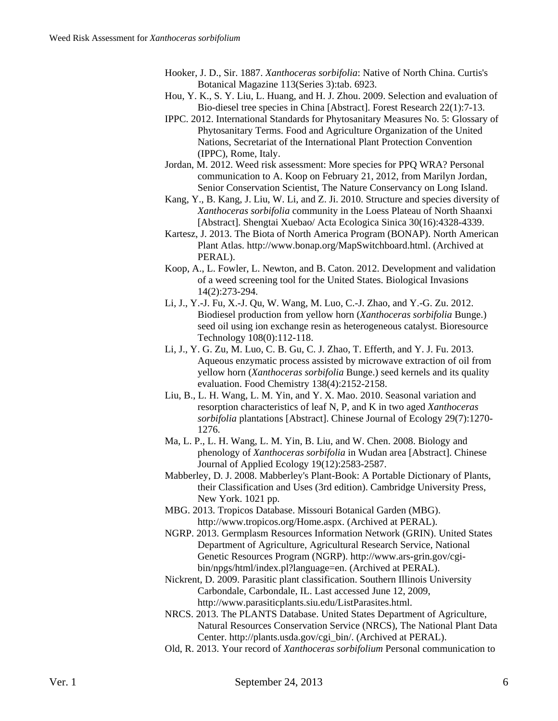- Hooker, J. D., Sir. 1887. *Xanthoceras sorbifolia*: Native of North China. Curtis's Botanical Magazine 113(Series 3):tab. 6923.
- Hou, Y. K., S. Y. Liu, L. Huang, and H. J. Zhou. 2009. Selection and evaluation of Bio-diesel tree species in China [Abstract]. Forest Research 22(1):7-13.
- IPPC. 2012. International Standards for Phytosanitary Measures No. 5: Glossary of Phytosanitary Terms. Food and Agriculture Organization of the United Nations, Secretariat of the International Plant Protection Convention (IPPC), Rome, Italy.
- Jordan, M. 2012. Weed risk assessment: More species for PPQ WRA? Personal communication to A. Koop on February 21, 2012, from Marilyn Jordan, Senior Conservation Scientist, The Nature Conservancy on Long Island.
- Kang, Y., B. Kang, J. Liu, W. Li, and Z. Ji. 2010. Structure and species diversity of *Xanthoceras sorbifolia* community in the Loess Plateau of North Shaanxi [Abstract]. Shengtai Xuebao/ Acta Ecologica Sinica 30(16):4328-4339.
- Kartesz, J. 2013. The Biota of North America Program (BONAP). North American Plant Atlas. http://www.bonap.org/MapSwitchboard.html. (Archived at PERAL).
- Koop, A., L. Fowler, L. Newton, and B. Caton. 2012. Development and validation of a weed screening tool for the United States. Biological Invasions 14(2):273-294.
- Li, J., Y.-J. Fu, X.-J. Qu, W. Wang, M. Luo, C.-J. Zhao, and Y.-G. Zu. 2012. Biodiesel production from yellow horn (*Xanthoceras sorbifolia* Bunge.) seed oil using ion exchange resin as heterogeneous catalyst. Bioresource Technology 108(0):112-118.
- Li, J., Y. G. Zu, M. Luo, C. B. Gu, C. J. Zhao, T. Efferth, and Y. J. Fu. 2013. Aqueous enzymatic process assisted by microwave extraction of oil from yellow horn (*Xanthoceras sorbifolia* Bunge.) seed kernels and its quality evaluation. Food Chemistry 138(4):2152-2158.
- Liu, B., L. H. Wang, L. M. Yin, and Y. X. Mao. 2010. Seasonal variation and resorption characteristics of leaf N, P, and K in two aged *Xanthoceras sorbifolia* plantations [Abstract]. Chinese Journal of Ecology 29(7):1270- 1276.
- Ma, L. P., L. H. Wang, L. M. Yin, B. Liu, and W. Chen. 2008. Biology and phenology of *Xanthoceras sorbifolia* in Wudan area [Abstract]. Chinese Journal of Applied Ecology 19(12):2583-2587.
- Mabberley, D. J. 2008. Mabberley's Plant-Book: A Portable Dictionary of Plants, their Classification and Uses (3rd edition). Cambridge University Press, New York. 1021 pp.
- MBG. 2013. Tropicos Database. Missouri Botanical Garden (MBG). http://www.tropicos.org/Home.aspx. (Archived at PERAL).
- NGRP. 2013. Germplasm Resources Information Network (GRIN). United States Department of Agriculture, Agricultural Research Service, National Genetic Resources Program (NGRP). http://www.ars-grin.gov/cgibin/npgs/html/index.pl?language=en. (Archived at PERAL).
- Nickrent, D. 2009. Parasitic plant classification. Southern Illinois University Carbondale, Carbondale, IL. Last accessed June 12, 2009, http://www.parasiticplants.siu.edu/ListParasites.html.
- NRCS. 2013. The PLANTS Database. United States Department of Agriculture, Natural Resources Conservation Service (NRCS), The National Plant Data Center. http://plants.usda.gov/cgi\_bin/. (Archived at PERAL).
- Old, R. 2013. Your record of *Xanthoceras sorbifolium* Personal communication to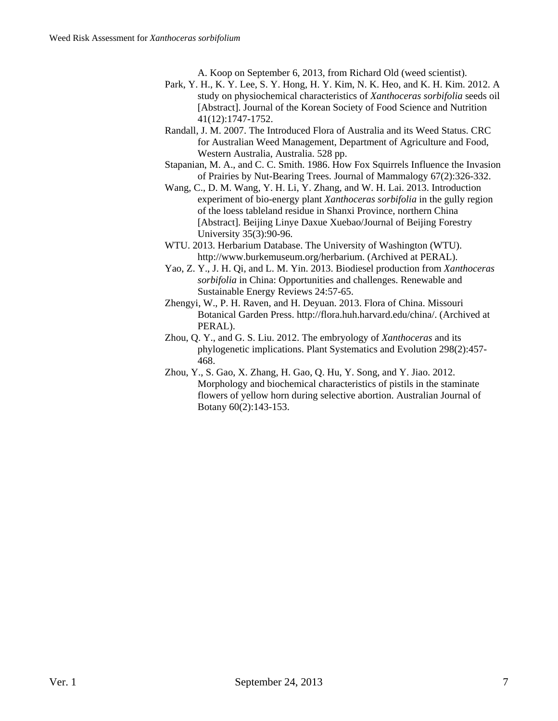A. Koop on September 6, 2013, from Richard Old (weed scientist).

- Park, Y. H., K. Y. Lee, S. Y. Hong, H. Y. Kim, N. K. Heo, and K. H. Kim. 2012. A study on physiochemical characteristics of *Xanthoceras sorbifolia* seeds oil [Abstract]. Journal of the Korean Society of Food Science and Nutrition 41(12):1747-1752.
- Randall, J. M. 2007. The Introduced Flora of Australia and its Weed Status. CRC for Australian Weed Management, Department of Agriculture and Food, Western Australia, Australia. 528 pp.
- Stapanian, M. A., and C. C. Smith. 1986. How Fox Squirrels Influence the Invasion of Prairies by Nut-Bearing Trees. Journal of Mammalogy 67(2):326-332.
- Wang, C., D. M. Wang, Y. H. Li, Y. Zhang, and W. H. Lai. 2013. Introduction experiment of bio-energy plant *Xanthoceras sorbifolia* in the gully region of the loess tableland residue in Shanxi Province, northern China [Abstract]. Beijing Linye Daxue Xuebao/Journal of Beijing Forestry University 35(3):90-96.
- WTU. 2013. Herbarium Database. The University of Washington (WTU). http://www.burkemuseum.org/herbarium. (Archived at PERAL).
- Yao, Z. Y., J. H. Qi, and L. M. Yin. 2013. Biodiesel production from *Xanthoceras sorbifolia* in China: Opportunities and challenges. Renewable and Sustainable Energy Reviews 24:57-65.
- Zhengyi, W., P. H. Raven, and H. Deyuan. 2013. Flora of China. Missouri Botanical Garden Press. http://flora.huh.harvard.edu/china/. (Archived at PERAL).
- Zhou, Q. Y., and G. S. Liu. 2012. The embryology of *Xanthoceras* and its phylogenetic implications. Plant Systematics and Evolution 298(2):457- 468.
- Zhou, Y., S. Gao, X. Zhang, H. Gao, Q. Hu, Y. Song, and Y. Jiao. 2012. Morphology and biochemical characteristics of pistils in the staminate flowers of yellow horn during selective abortion. Australian Journal of Botany 60(2):143-153.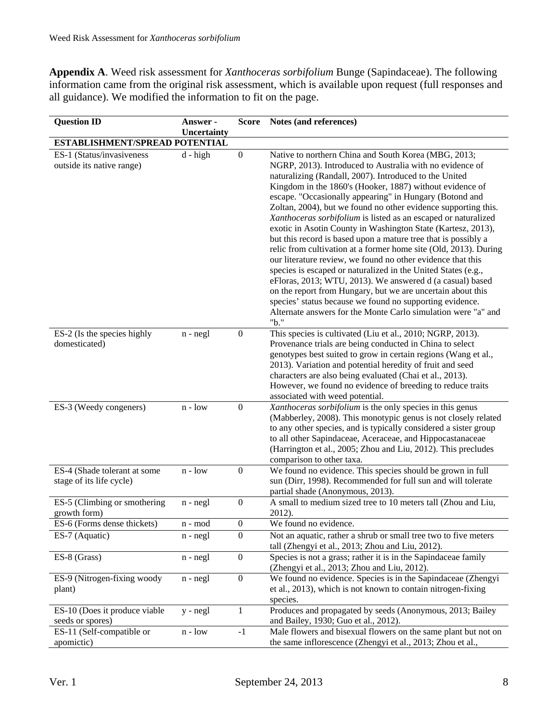**Appendix A**. Weed risk assessment for *Xanthoceras sorbifolium* Bunge (Sapindaceae). The following information came from the original risk assessment, which is available upon request (full responses and all guidance). We modified the information to fit on the page.

| <b>Question ID</b>                                       | Answer -                      | <b>Score</b>     | Notes (and references)                                                                                                                                                                                                                                                                                                                                                                                                                                                                                                                                                                                                                                                                                                                                                                                                                                                                                                                                                                                                                       |
|----------------------------------------------------------|-------------------------------|------------------|----------------------------------------------------------------------------------------------------------------------------------------------------------------------------------------------------------------------------------------------------------------------------------------------------------------------------------------------------------------------------------------------------------------------------------------------------------------------------------------------------------------------------------------------------------------------------------------------------------------------------------------------------------------------------------------------------------------------------------------------------------------------------------------------------------------------------------------------------------------------------------------------------------------------------------------------------------------------------------------------------------------------------------------------|
|                                                          | <b>Uncertainty</b>            |                  |                                                                                                                                                                                                                                                                                                                                                                                                                                                                                                                                                                                                                                                                                                                                                                                                                                                                                                                                                                                                                                              |
| ESTABLISHMENT/SPREAD POTENTIAL                           |                               |                  |                                                                                                                                                                                                                                                                                                                                                                                                                                                                                                                                                                                                                                                                                                                                                                                                                                                                                                                                                                                                                                              |
| ES-1 (Status/invasiveness<br>outside its native range)   | $d - high$                    | $\boldsymbol{0}$ | Native to northern China and South Korea (MBG, 2013;<br>NGRP, 2013). Introduced to Australia with no evidence of<br>naturalizing (Randall, 2007). Introduced to the United<br>Kingdom in the 1860's (Hooker, 1887) without evidence of<br>escape. "Occasionally appearing" in Hungary (Botond and<br>Zoltan, 2004), but we found no other evidence supporting this.<br>Xanthoceras sorbifolium is listed as an escaped or naturalized<br>exotic in Asotin County in Washington State (Kartesz, 2013),<br>but this record is based upon a mature tree that is possibly a<br>relic from cultivation at a former home site (Old, 2013). During<br>our literature review, we found no other evidence that this<br>species is escaped or naturalized in the United States (e.g.,<br>eFloras, 2013; WTU, 2013). We answered d (a casual) based<br>on the report from Hungary, but we are uncertain about this<br>species' status because we found no supporting evidence.<br>Alternate answers for the Monte Carlo simulation were "a" and<br>"b." |
| ES-2 (Is the species highly<br>domesticated)             | $n - negl$                    | $\boldsymbol{0}$ | This species is cultivated (Liu et al., 2010; NGRP, 2013).<br>Provenance trials are being conducted in China to select<br>genotypes best suited to grow in certain regions (Wang et al.,<br>2013). Variation and potential heredity of fruit and seed<br>characters are also being evaluated (Chai et al., 2013).<br>However, we found no evidence of breeding to reduce traits<br>associated with weed potential.                                                                                                                                                                                                                                                                                                                                                                                                                                                                                                                                                                                                                           |
| ES-3 (Weedy congeners)                                   | $n - low$                     | $\boldsymbol{0}$ | Xanthoceras sorbifolium is the only species in this genus<br>(Mabberley, 2008). This monotypic genus is not closely related<br>to any other species, and is typically considered a sister group<br>to all other Sapindaceae, Aceraceae, and Hippocastanaceae<br>(Harrington et al., 2005; Zhou and Liu, 2012). This precludes<br>comparison to other taxa.                                                                                                                                                                                                                                                                                                                                                                                                                                                                                                                                                                                                                                                                                   |
| ES-4 (Shade tolerant at some<br>stage of its life cycle) | $n - low$                     | $\boldsymbol{0}$ | We found no evidence. This species should be grown in full<br>sun (Dirr, 1998). Recommended for full sun and will tolerate<br>partial shade (Anonymous, 2013).                                                                                                                                                                                                                                                                                                                                                                                                                                                                                                                                                                                                                                                                                                                                                                                                                                                                               |
| ES-5 (Climbing or smothering<br>growth form)             | $n - negl$                    | $\boldsymbol{0}$ | A small to medium sized tree to 10 meters tall (Zhou and Liu,<br>2012).                                                                                                                                                                                                                                                                                                                                                                                                                                                                                                                                                                                                                                                                                                                                                                                                                                                                                                                                                                      |
| ES-6 (Forms dense thickets)                              | $\mathbf{n}$ - $\mathbf{mod}$ | $\boldsymbol{0}$ | We found no evidence.                                                                                                                                                                                                                                                                                                                                                                                                                                                                                                                                                                                                                                                                                                                                                                                                                                                                                                                                                                                                                        |
| ES-7 (Aquatic)                                           | $n - negl$                    | $\boldsymbol{0}$ | Not an aquatic, rather a shrub or small tree two to five meters<br>tall (Zhengyi et al., 2013; Zhou and Liu, 2012).                                                                                                                                                                                                                                                                                                                                                                                                                                                                                                                                                                                                                                                                                                                                                                                                                                                                                                                          |
| ES-8 (Grass)                                             | $n - negl$                    | $\boldsymbol{0}$ | Species is not a grass; rather it is in the Sapindaceae family<br>(Zhengyi et al., 2013; Zhou and Liu, 2012).                                                                                                                                                                                                                                                                                                                                                                                                                                                                                                                                                                                                                                                                                                                                                                                                                                                                                                                                |
| ES-9 (Nitrogen-fixing woody<br>plant)                    | $n - negl$                    | $\boldsymbol{0}$ | We found no evidence. Species is in the Sapindaceae (Zhengyi<br>et al., 2013), which is not known to contain nitrogen-fixing<br>species.                                                                                                                                                                                                                                                                                                                                                                                                                                                                                                                                                                                                                                                                                                                                                                                                                                                                                                     |
| ES-10 (Does it produce viable<br>seeds or spores)        | $y - negl$                    | $\mathbf{1}$     | Produces and propagated by seeds (Anonymous, 2013; Bailey<br>and Bailey, 1930; Guo et al., 2012).                                                                                                                                                                                                                                                                                                                                                                                                                                                                                                                                                                                                                                                                                                                                                                                                                                                                                                                                            |
| ES-11 (Self-compatible or<br>apomictic)                  | $n - low$                     | $-1$             | Male flowers and bisexual flowers on the same plant but not on<br>the same inflorescence (Zhengyi et al., 2013; Zhou et al.,                                                                                                                                                                                                                                                                                                                                                                                                                                                                                                                                                                                                                                                                                                                                                                                                                                                                                                                 |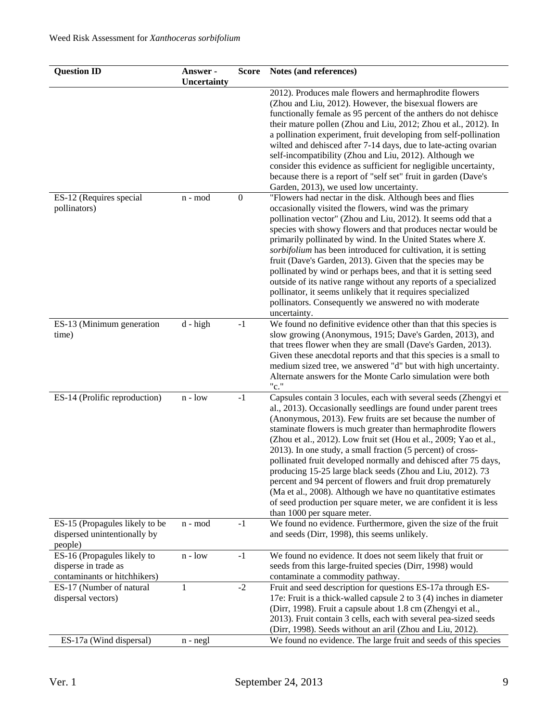| <b>Question ID</b>                                                                  | Answer -<br>Uncertainty | <b>Score</b>     | Notes (and references)                                                                                                                                                                                                                                                                                                                                                                                                                                                                                                                                                                                                                                                                                                                                                     |
|-------------------------------------------------------------------------------------|-------------------------|------------------|----------------------------------------------------------------------------------------------------------------------------------------------------------------------------------------------------------------------------------------------------------------------------------------------------------------------------------------------------------------------------------------------------------------------------------------------------------------------------------------------------------------------------------------------------------------------------------------------------------------------------------------------------------------------------------------------------------------------------------------------------------------------------|
|                                                                                     |                         |                  | 2012). Produces male flowers and hermaphrodite flowers<br>(Zhou and Liu, 2012). However, the bisexual flowers are<br>functionally female as 95 percent of the anthers do not dehisce<br>their mature pollen (Zhou and Liu, 2012; Zhou et al., 2012). In<br>a pollination experiment, fruit developing from self-pollination<br>wilted and dehisced after 7-14 days, due to late-acting ovarian<br>self-incompatibility (Zhou and Liu, 2012). Although we<br>consider this evidence as sufficient for negligible uncertainty,<br>because there is a report of "self set" fruit in garden (Dave's<br>Garden, 2013), we used low uncertainty.                                                                                                                                 |
| ES-12 (Requires special<br>pollinators)                                             | n - mod                 | $\boldsymbol{0}$ | "Flowers had nectar in the disk. Although bees and flies<br>occasionally visited the flowers, wind was the primary<br>pollination vector" (Zhou and Liu, 2012). It seems odd that a<br>species with showy flowers and that produces nectar would be<br>primarily pollinated by wind. In the United States where X.<br>sorbifolium has been introduced for cultivation, it is setting<br>fruit (Dave's Garden, 2013). Given that the species may be<br>pollinated by wind or perhaps bees, and that it is setting seed<br>outside of its native range without any reports of a specialized<br>pollinator, it seems unlikely that it requires specialized<br>pollinators. Consequently we answered no with moderate<br>uncertainty.                                          |
| ES-13 (Minimum generation<br>time)                                                  | $d - high$              | $-1$             | We found no definitive evidence other than that this species is<br>slow growing (Anonymous, 1915; Dave's Garden, 2013), and<br>that trees flower when they are small (Dave's Garden, 2013).<br>Given these anecdotal reports and that this species is a small to<br>medium sized tree, we answered "d" but with high uncertainty.<br>Alternate answers for the Monte Carlo simulation were both<br>"c."                                                                                                                                                                                                                                                                                                                                                                    |
| ES-14 (Prolific reproduction)                                                       | $n - low$               | $-1$             | Capsules contain 3 locules, each with several seeds (Zhengyi et<br>al., 2013). Occasionally seedlings are found under parent trees<br>(Anonymous, 2013). Few fruits are set because the number of<br>staminate flowers is much greater than hermaphrodite flowers<br>(Zhou et al., 2012). Low fruit set (Hou et al., 2009; Yao et al.,<br>2013). In one study, a small fraction (5 percent) of cross-<br>pollinated fruit developed normally and dehisced after 75 days,<br>producing 15-25 large black seeds (Zhou and Liu, 2012), 73<br>percent and 94 percent of flowers and fruit drop prematurely<br>(Ma et al., 2008). Although we have no quantitative estimates<br>of seed production per square meter, we are confident it is less<br>than 1000 per square meter. |
| ES-15 (Propagules likely to be<br>dispersed unintentionally by<br>people)           | n - mod                 | $-1$             | We found no evidence. Furthermore, given the size of the fruit<br>and seeds (Dirr, 1998), this seems unlikely.                                                                                                                                                                                                                                                                                                                                                                                                                                                                                                                                                                                                                                                             |
| ES-16 (Propagules likely to<br>disperse in trade as<br>contaminants or hitchhikers) | $n - low$               | $-1$             | We found no evidence. It does not seem likely that fruit or<br>seeds from this large-fruited species (Dirr, 1998) would<br>contaminate a commodity pathway.                                                                                                                                                                                                                                                                                                                                                                                                                                                                                                                                                                                                                |
| ES-17 (Number of natural<br>dispersal vectors)                                      | 1                       | $-2$             | Fruit and seed description for questions ES-17a through ES-<br>17e: Fruit is a thick-walled capsule 2 to 3 (4) inches in diameter<br>(Dirr, 1998). Fruit a capsule about 1.8 cm (Zhengyi et al.,<br>2013). Fruit contain 3 cells, each with several pea-sized seeds<br>(Dirr, 1998). Seeds without an aril (Zhou and Liu, 2012).                                                                                                                                                                                                                                                                                                                                                                                                                                           |
| ES-17a (Wind dispersal)                                                             | $n - negl$              |                  | We found no evidence. The large fruit and seeds of this species                                                                                                                                                                                                                                                                                                                                                                                                                                                                                                                                                                                                                                                                                                            |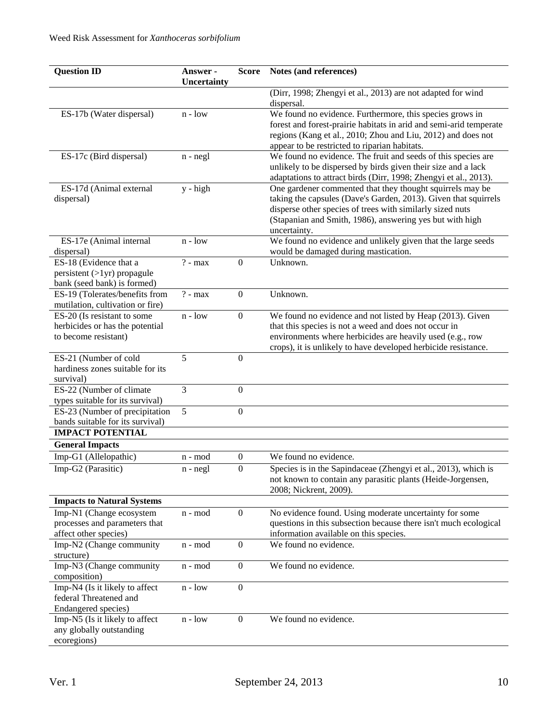| <b>Question ID</b>                                           | Answer -<br>Uncertainty | <b>Score</b>     | Notes (and references)                                                                                                            |
|--------------------------------------------------------------|-------------------------|------------------|-----------------------------------------------------------------------------------------------------------------------------------|
|                                                              |                         |                  | (Dirr, 1998; Zhengyi et al., 2013) are not adapted for wind                                                                       |
|                                                              |                         |                  | dispersal.                                                                                                                        |
| ES-17b (Water dispersal)                                     | $n - low$               |                  | We found no evidence. Furthermore, this species grows in                                                                          |
|                                                              |                         |                  | forest and forest-prairie habitats in arid and semi-arid temperate                                                                |
|                                                              |                         |                  | regions (Kang et al., 2010; Zhou and Liu, 2012) and does not                                                                      |
|                                                              |                         |                  | appear to be restricted to riparian habitats.                                                                                     |
| ES-17c (Bird dispersal)                                      | $n - negl$              |                  | We found no evidence. The fruit and seeds of this species are                                                                     |
|                                                              |                         |                  | unlikely to be dispersed by birds given their size and a lack<br>adaptations to attract birds (Dirr, 1998; Zhengyi et al., 2013). |
| ES-17d (Animal external                                      | $y - high$              |                  | One gardener commented that they thought squirrels may be                                                                         |
| dispersal)                                                   |                         |                  | taking the capsules (Dave's Garden, 2013). Given that squirrels                                                                   |
|                                                              |                         |                  | disperse other species of trees with similarly sized nuts                                                                         |
|                                                              |                         |                  | (Stapanian and Smith, 1986), answering yes but with high                                                                          |
|                                                              |                         |                  | uncertainty.                                                                                                                      |
| ES-17e (Animal internal                                      | $n - low$               |                  | We found no evidence and unlikely given that the large seeds                                                                      |
| dispersal)                                                   |                         |                  | would be damaged during mastication.<br>Unknown.                                                                                  |
| ES-18 (Evidence that a<br>$persistent (>1yr)$ propagule      | $? - max$               | $\boldsymbol{0}$ |                                                                                                                                   |
| bank (seed bank) is formed)                                  |                         |                  |                                                                                                                                   |
| ES-19 (Tolerates/benefits from                               | $? - max$               | $\boldsymbol{0}$ | Unknown.                                                                                                                          |
| mutilation, cultivation or fire)                             |                         |                  |                                                                                                                                   |
| ES-20 (Is resistant to some                                  | $n - low$               | $\boldsymbol{0}$ | We found no evidence and not listed by Heap (2013). Given                                                                         |
| herbicides or has the potential                              |                         |                  | that this species is not a weed and does not occur in                                                                             |
| to become resistant)                                         |                         |                  | environments where herbicides are heavily used (e.g., row                                                                         |
|                                                              |                         |                  | crops), it is unlikely to have developed herbicide resistance.                                                                    |
| ES-21 (Number of cold                                        | 5                       | $\boldsymbol{0}$ |                                                                                                                                   |
| hardiness zones suitable for its                             |                         |                  |                                                                                                                                   |
| survival)                                                    |                         |                  |                                                                                                                                   |
| ES-22 (Number of climate<br>types suitable for its survival) | 3                       | $\boldsymbol{0}$ |                                                                                                                                   |
| ES-23 (Number of precipitation                               | 5                       | $\boldsymbol{0}$ |                                                                                                                                   |
| bands suitable for its survival)                             |                         |                  |                                                                                                                                   |
| <b>IMPACT POTENTIAL</b>                                      |                         |                  |                                                                                                                                   |
| <b>General Impacts</b>                                       |                         |                  |                                                                                                                                   |
| Imp-G1 (Allelopathic)                                        | n - mod                 | $\boldsymbol{0}$ | We found no evidence.                                                                                                             |
| Imp-G2 (Parasitic)                                           | n - negl                | $\overline{0}$   | Species is in the Sapindaceae (Zhengyi et al., 2013), which is                                                                    |
|                                                              |                         |                  | not known to contain any parasitic plants (Heide-Jorgensen,                                                                       |
|                                                              |                         |                  | 2008; Nickrent, 2009).                                                                                                            |
| <b>Impacts to Natural Systems</b>                            |                         |                  |                                                                                                                                   |
| Imp-N1 (Change ecosystem                                     | n - mod                 | $\boldsymbol{0}$ | No evidence found. Using moderate uncertainty for some                                                                            |
| processes and parameters that                                |                         |                  | questions in this subsection because there isn't much ecological                                                                  |
| affect other species)                                        |                         |                  | information available on this species.                                                                                            |
| Imp-N2 (Change community                                     | n - mod                 | $\mathbf{0}$     | We found no evidence.                                                                                                             |
| structure)                                                   |                         |                  |                                                                                                                                   |
| Imp-N3 (Change community<br>composition)                     | n - mod                 | $\mathbf{0}$     | We found no evidence.                                                                                                             |
| Imp-N4 (Is it likely to affect                               | $n - low$               | $\boldsymbol{0}$ |                                                                                                                                   |
| federal Threatened and                                       |                         |                  |                                                                                                                                   |
| Endangered species)                                          |                         |                  |                                                                                                                                   |
| Imp-N5 (Is it likely to affect                               | $n - low$               | $\boldsymbol{0}$ | We found no evidence.                                                                                                             |
| any globally outstanding                                     |                         |                  |                                                                                                                                   |
| ecoregions)                                                  |                         |                  |                                                                                                                                   |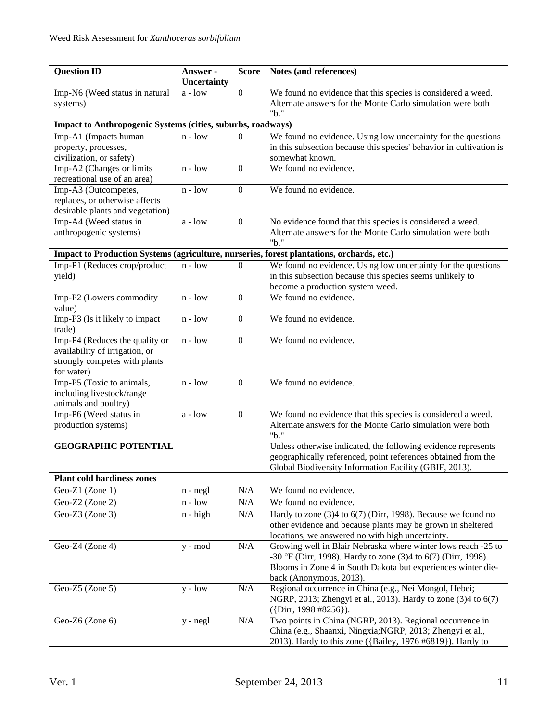| <b>Question ID</b>                                                  | Answer -<br>Uncertainty                   | <b>Score</b>     | Notes (and references)                                                                                                     |  |  |
|---------------------------------------------------------------------|-------------------------------------------|------------------|----------------------------------------------------------------------------------------------------------------------------|--|--|
| Imp-N6 (Weed status in natural                                      | $a - low$                                 | $\boldsymbol{0}$ | We found no evidence that this species is considered a weed.                                                               |  |  |
| systems)                                                            |                                           |                  | Alternate answers for the Monte Carlo simulation were both                                                                 |  |  |
| "b."<br>Impact to Anthropogenic Systems (cities, suburbs, roadways) |                                           |                  |                                                                                                                            |  |  |
| Imp-A1 (Impacts human                                               | $n - low$                                 | $\Omega$         | We found no evidence. Using low uncertainty for the questions                                                              |  |  |
| property, processes,                                                |                                           |                  | in this subsection because this species' behavior in cultivation is                                                        |  |  |
| civilization, or safety)                                            |                                           |                  | somewhat known.                                                                                                            |  |  |
| Imp-A2 (Changes or limits                                           | $n - low$                                 | $\mathbf{0}$     | We found no evidence.                                                                                                      |  |  |
| recreational use of an area)                                        |                                           |                  |                                                                                                                            |  |  |
| Imp-A3 (Outcompetes,                                                | $n - low$                                 | $\boldsymbol{0}$ | We found no evidence.                                                                                                      |  |  |
| replaces, or otherwise affects                                      |                                           |                  |                                                                                                                            |  |  |
| desirable plants and vegetation)                                    |                                           |                  |                                                                                                                            |  |  |
| Imp-A4 (Weed status in                                              | $a - low$                                 | $\boldsymbol{0}$ | No evidence found that this species is considered a weed.                                                                  |  |  |
| anthropogenic systems)                                              |                                           |                  | Alternate answers for the Monte Carlo simulation were both<br>"b."                                                         |  |  |
|                                                                     |                                           |                  | Impact to Production Systems (agriculture, nurseries, forest plantations, orchards, etc.)                                  |  |  |
| Imp-P1 (Reduces crop/product                                        | $n - low$                                 | $\theta$         | We found no evidence. Using low uncertainty for the questions                                                              |  |  |
| yield)                                                              |                                           |                  | in this subsection because this species seems unlikely to                                                                  |  |  |
|                                                                     |                                           |                  | become a production system weed.                                                                                           |  |  |
| Imp-P2 (Lowers commodity                                            | $n - low$                                 | $\boldsymbol{0}$ | We found no evidence.                                                                                                      |  |  |
| value)                                                              |                                           |                  |                                                                                                                            |  |  |
| Imp-P3 (Is it likely to impact                                      | $n - low$                                 | $\boldsymbol{0}$ | We found no evidence.                                                                                                      |  |  |
| trade)                                                              |                                           |                  |                                                                                                                            |  |  |
| Imp-P4 (Reduces the quality or                                      | $n - low$                                 | $\boldsymbol{0}$ | We found no evidence.                                                                                                      |  |  |
| availability of irrigation, or                                      |                                           |                  |                                                                                                                            |  |  |
| strongly competes with plants                                       |                                           |                  |                                                                                                                            |  |  |
| for water)                                                          |                                           |                  |                                                                                                                            |  |  |
| Imp-P5 (Toxic to animals,                                           | $n - low$                                 | $\boldsymbol{0}$ | We found no evidence.                                                                                                      |  |  |
| including livestock/range                                           |                                           |                  |                                                                                                                            |  |  |
| animals and poultry)                                                |                                           |                  |                                                                                                                            |  |  |
| Imp-P6 (Weed status in<br>production systems)                       | a - low                                   | $\boldsymbol{0}$ | We found no evidence that this species is considered a weed.<br>Alternate answers for the Monte Carlo simulation were both |  |  |
|                                                                     |                                           |                  | "b."                                                                                                                       |  |  |
| <b>GEOGRAPHIC POTENTIAL</b>                                         |                                           |                  | Unless otherwise indicated, the following evidence represents                                                              |  |  |
|                                                                     |                                           |                  | geographically referenced, point references obtained from the                                                              |  |  |
|                                                                     |                                           |                  | Global Biodiversity Information Facility (GBIF, 2013).                                                                     |  |  |
| <b>Plant cold hardiness zones</b>                                   |                                           |                  |                                                                                                                            |  |  |
| Geo-Z1 (Zone 1)                                                     | $n - negl$                                | N/A              | We found no evidence.                                                                                                      |  |  |
| Geo-Z2 (Zone 2)                                                     | $\operatorname{n}$ - $\operatorname{low}$ | N/A              | We found no evidence.                                                                                                      |  |  |
| Geo-Z3 (Zone 3)                                                     | $n - high$                                | N/A              | Hardy to zone $(3)4$ to $6(7)$ (Dirr, 1998). Because we found no                                                           |  |  |
|                                                                     |                                           |                  | other evidence and because plants may be grown in sheltered                                                                |  |  |
|                                                                     |                                           |                  | locations, we answered no with high uncertainty.                                                                           |  |  |
| Geo-Z4 (Zone 4)                                                     | y - mod                                   | N/A              | Growing well in Blair Nebraska where winter lows reach -25 to                                                              |  |  |
|                                                                     |                                           |                  | -30 °F (Dirr, 1998). Hardy to zone (3)4 to 6(7) (Dirr, 1998).                                                              |  |  |
|                                                                     |                                           |                  | Blooms in Zone 4 in South Dakota but experiences winter die-                                                               |  |  |
|                                                                     |                                           |                  | back (Anonymous, 2013).                                                                                                    |  |  |
| Geo-Z5 (Zone 5)                                                     | $y - low$                                 | N/A              | Regional occurrence in China (e.g., Nei Mongol, Hebei;                                                                     |  |  |
|                                                                     |                                           |                  | NGRP, 2013; Zhengyi et al., 2013). Hardy to zone (3)4 to 6(7)                                                              |  |  |
|                                                                     |                                           |                  | $({\text{Dirr}}, 1998 \#8256).$                                                                                            |  |  |
| Geo-Z6 (Zone 6)                                                     | y - negl                                  | N/A              | Two points in China (NGRP, 2013). Regional occurrence in                                                                   |  |  |
|                                                                     |                                           |                  | China (e.g., Shaanxi, Ningxia; NGRP, 2013; Zhengyi et al.,                                                                 |  |  |
|                                                                     |                                           |                  | 2013). Hardy to this zone ({Bailey, 1976 #6819}). Hardy to                                                                 |  |  |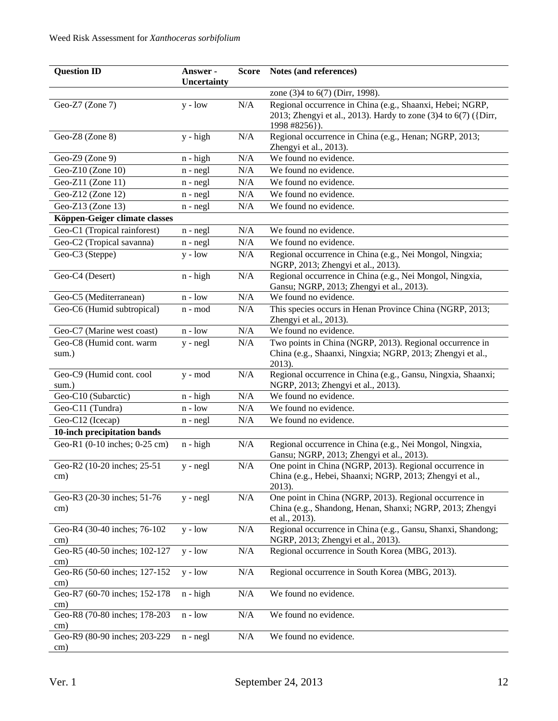| <b>Question ID</b>                   | Answer -<br>Uncertainty | <b>Score</b> | Notes (and references)                                                                                                                        |
|--------------------------------------|-------------------------|--------------|-----------------------------------------------------------------------------------------------------------------------------------------------|
|                                      |                         |              | zone (3)4 to 6(7) (Dirr, 1998).                                                                                                               |
| Geo-Z7 (Zone 7)                      | $y - low$               | N/A          | Regional occurrence in China (e.g., Shaanxi, Hebei; NGRP,<br>2013; Zhengyi et al., 2013). Hardy to zone (3)4 to 6(7) ({Dirr,<br>1998 #8256}). |
| Geo-Z8 (Zone 8)                      | y - high                | $\rm N/A$    | Regional occurrence in China (e.g., Henan; NGRP, 2013;<br>Zhengyi et al., 2013).                                                              |
| Geo-Z9 (Zone 9)                      | $n - high$              | N/A          | We found no evidence.                                                                                                                         |
| Geo-Z10 (Zone 10)                    | $n - negl$              | N/A          | We found no evidence.                                                                                                                         |
| Geo-Z11 (Zone 11)                    | $n - negl$              | N/A          | We found no evidence.                                                                                                                         |
| Geo-Z12 (Zone 12)                    | $n - negl$              | $\rm N/A$    | We found no evidence.                                                                                                                         |
| Geo-Z13 (Zone 13)                    | $n - negl$              | N/A          | We found no evidence.                                                                                                                         |
| Köppen-Geiger climate classes        |                         |              |                                                                                                                                               |
| Geo-C1 (Tropical rainforest)         | $n - negl$              | N/A          | We found no evidence.                                                                                                                         |
| Geo-C2 (Tropical savanna)            | $n - negl$              | N/A          | We found no evidence.                                                                                                                         |
| Geo-C3 (Steppe)                      | $y - low$               | N/A          | Regional occurrence in China (e.g., Nei Mongol, Ningxia;                                                                                      |
|                                      |                         |              | NGRP, 2013; Zhengyi et al., 2013).                                                                                                            |
| Geo-C4 (Desert)                      | $n - high$              | N/A          | Regional occurrence in China (e.g., Nei Mongol, Ningxia,<br>Gansu; NGRP, 2013; Zhengyi et al., 2013).                                         |
| Geo-C5 (Mediterranean)               | $n - low$               | N/A          | We found no evidence.                                                                                                                         |
| Geo-C6 (Humid subtropical)           | n - mod                 | N/A          | This species occurs in Henan Province China (NGRP, 2013;<br>Zhengyi et al., 2013).                                                            |
| Geo-C7 (Marine west coast)           | $n - low$               | $\rm N/A$    | We found no evidence.                                                                                                                         |
| Geo-C8 (Humid cont. warm             | $y - negl$              | N/A          | Two points in China (NGRP, 2013). Regional occurrence in                                                                                      |
| sum.)                                |                         |              | China (e.g., Shaanxi, Ningxia; NGRP, 2013; Zhengyi et al.,<br>2013).                                                                          |
| Geo-C9 (Humid cont. cool<br>sum.)    | $y - mod$               | $\rm N/A$    | Regional occurrence in China (e.g., Gansu, Ningxia, Shaanxi;<br>NGRP, 2013; Zhengyi et al., 2013).                                            |
| Geo-C10 (Subarctic)                  | $n - high$              | $\rm N/A$    | We found no evidence.                                                                                                                         |
| Geo-C11 (Tundra)                     | $n - low$               | $\rm N/A$    | We found no evidence.                                                                                                                         |
| Geo-C12 (Icecap)                     | n - negl                | N/A          | We found no evidence.                                                                                                                         |
| 10-inch precipitation bands          |                         |              |                                                                                                                                               |
| Geo-R1 (0-10 inches; 0-25 cm)        | $n - high$              | N/A          | Regional occurrence in China (e.g., Nei Mongol, Ningxia,<br>Gansu; NGRP, 2013; Zhengyi et al., 2013).                                         |
| Geo-R2 (10-20 inches; 25-51<br>cm)   | $y - negl$              | N/A          | One point in China (NGRP, 2013). Regional occurrence in<br>China (e.g., Hebei, Shaanxi; NGRP, 2013; Zhengyi et al.,<br>2013).                 |
| Geo-R3 (20-30 inches; 51-76<br>cm)   | $y - negl$              | N/A          | One point in China (NGRP, 2013). Regional occurrence in<br>China (e.g., Shandong, Henan, Shanxi; NGRP, 2013; Zhengyi<br>et al., 2013).        |
| Geo-R4 (30-40 inches; 76-102<br>cm)  | $y - low$               | N/A          | Regional occurrence in China (e.g., Gansu, Shanxi, Shandong;<br>NGRP, 2013; Zhengyi et al., 2013).                                            |
| Geo-R5 (40-50 inches; 102-127<br>cm) | $y - low$               | N/A          | Regional occurrence in South Korea (MBG, 2013).                                                                                               |
| Geo-R6 (50-60 inches; 127-152<br>cm) | $y - low$               | N/A          | Regional occurrence in South Korea (MBG, 2013).                                                                                               |
| Geo-R7 (60-70 inches; 152-178<br>cm) | $n - high$              | N/A          | We found no evidence.                                                                                                                         |
| Geo-R8 (70-80 inches; 178-203<br>cm) | $n - low$               | N/A          | We found no evidence.                                                                                                                         |
| Geo-R9 (80-90 inches; 203-229<br>cm) | $n - negl$              | N/A          | We found no evidence.                                                                                                                         |